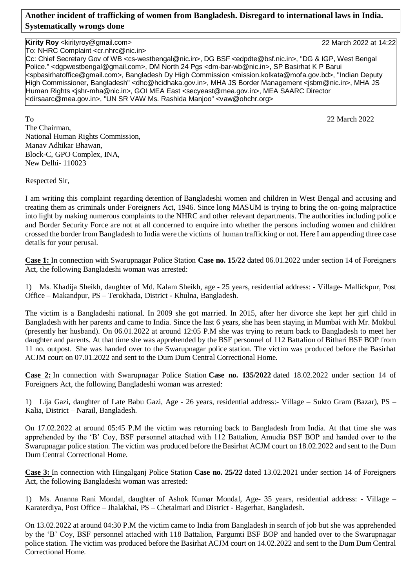## **Another incident of trafficking of women from Bangladesh. Disregard to international laws in India. Systematically wrongs done**

## **Kirity Roy** <kirityroy@gmail.com> 22 March 2022 at 14:22

To: NHRC Complaint <cr.nhrc@nic.in>

Cc: Chief Secretary Gov of WB <cs-westbengal@nic.in>, DG BSF <edpdte@bsf.nic.in>, "DG & IGP, West Bengal Police." <dgpwestbengal@gmail.com>, DM North 24 Pgs <dm-bar-wb@nic.in>, SP Basirhat K P Barui <spbasirhatoffice@gmail.com>, Bangladesh Dy High Commission <mission.kolkata@mofa.gov.bd>, "Indian Deputy High Commissioner, Bangladesh" <dhc@hcidhaka.gov.in>, MHA JS Border Management <jsbm@nic.in>, MHA JS Human Rights <jshr-mha@nic.in>, GOI MEA East <secyeast@mea.gov.in>, MEA SAARC Director <dirsaarc@mea.gov.in>, "UN SR VAW Ms. Rashida Manjoo" <vaw@ohchr.org>

To 22 March 2022 The Chairman, National Human Rights Commission, Manav Adhikar Bhawan, Block-C, GPO Complex, INA, New Delhi- 110023

Respected Sir,

I am writing this complaint regarding detention of Bangladeshi women and children in West Bengal and accusing and treating them as criminals under Foreigners Act, 1946. Since long MASUM is trying to bring the on-going malpractice into light by making numerous complaints to the NHRC and other relevant departments. The authorities including police and Border Security Force are not at all concerned to enquire into whether the persons including women and children crossed the border from Bangladesh to India were the victims of human trafficking or not. Here I am appending three case details for your perusal.

**Case 1:** In connection with Swarupnagar Police Station **Case no. 15/22** dated 06.01.2022 under section 14 of Foreigners Act, the following Bangladeshi woman was arrested:

1) Ms. Khadija Sheikh, daughter of Md. Kalam Sheikh, age - 25 years, residential address: - Village- Mallickpur, Post Office – Makandpur, PS – Terokhada, District - Khulna, Bangladesh.

The victim is a Bangladeshi national. In 2009 she got married. In 2015, after her divorce she kept her girl child in Bangladesh with her parents and came to India. Since the last 6 years, she has been staying in Mumbai with Mr. Mokbul (presently her husband). On 06.01.2022 at around 12:05 P.M she was trying to return back to Bangladesh to meet her daughter and parents. At that time she was apprehended by the BSF personnel of 112 Battalion of Bithari BSF BOP from 11 no. outpost. She was handed over to the Swarupnagar police station. The victim was produced before the Basirhat ACJM court on 07.01.2022 and sent to the Dum Dum Central Correctional Home.

**Case 2:** In connection with Swarupnagar Police Station **Case no. 135/2022** dated 18.02.2022 under section 14 of Foreigners Act, the following Bangladeshi woman was arrested:

1) Lija Gazi, daughter of Late Babu Gazi, Age - 26 years, residential address:- Village – Sukto Gram (Bazar), PS – Kalia, District – Narail, Bangladesh.

On 17.02.2022 at around 05:45 P.M the victim was returning back to Bangladesh from India. At that time she was apprehended by the 'B' Coy, BSF personnel attached with 112 Battalion, Amudia BSF BOP and handed over to the Swarupnagar police station. The victim was produced before the Basirhat ACJM court on 18.02.2022 and sent to the Dum Dum Central Correctional Home.

**Case 3:** In connection with Hingalganj Police Station **Case no. 25/22** dated 13.02.2021 under section 14 of Foreigners Act, the following Bangladeshi woman was arrested:

1) Ms. Ananna Rani Mondal, daughter of Ashok Kumar Mondal, Age- 35 years, residential address: - Village – Karaterdiya, Post Office – Jhalakhai, PS – Chetalmari and District - Bagerhat, Bangladesh.

On 13.02.2022 at around 04:30 P.M the victim came to India from Bangladesh in search of job but she was apprehended by the 'B' Coy, BSF personnel attached with 118 Battalion, Pargumti BSF BOP and handed over to the Swarupnagar police station. The victim was produced before the Basirhat ACJM court on 14.02.2022 and sent to the Dum Dum Central Correctional Home.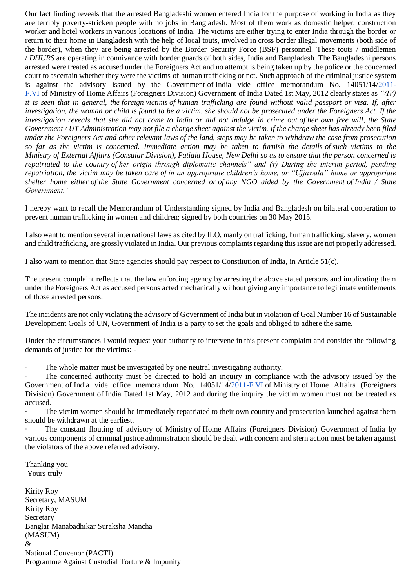Our fact finding reveals that the arrested Bangladeshi women entered India for the purpose of working in India as they are terribly poverty-stricken people with no jobs in Bangladesh. Most of them work as domestic helper, construction worker and hotel workers in various locations of India. The victims are either trying to enter India through the border or return to their home in Bangladesh with the help of local touts, involved in cross border illegal movements (both side of the border), when they are being arrested by the Border Security Force (BSF) personnel. These touts / middlemen / *DHURS* are operating in connivance with border guards of both sides, India and Bangladesh. The Bangladeshi persons arrested were treated as accused under the Foreigners Act and no attempt is being taken up by the police or the concerned court to ascertain whether they were the victims of human trafficking or not. Such approach of the criminal justice system is against the advisory issued by the Government of India vide office memorandum No. 14051/14[/2011-](http://2011-f.vi/) [F.VI](http://2011-f.vi/) of Ministry of Home Affairs (Foreigners Division) Government of India Dated 1st May, 2012 clearly states as *"(IV) it is seen that in general, the foreign victims of human trafficking are found without valid passport or visa. If, after investigation, the woman or child is found to be a victim, she should not be prosecuted under the Foreigners Act. If the investigation reveals that she did not come to India or did not indulge in crime out of her own free will, the State Government / UT Administration may not file a charge sheet against the victim. If the charge sheet has already been filed under the Foreigners Act and other relevant laws of the land, steps may be taken to withdraw the case from prosecution so far as the victim is concerned. Immediate action may be taken to furnish the details of such victims to the Ministry of External Affairs (Consular Division), Patiala House, New Delhi so as to ensure that the person concerned is repatriated to the country of her origin through diplomatic channels" and (v) During the interim period, pending repatriation, the victim may be taken care of in an appropriate children's home, or "Ujjawala" home or appropriate shelter home either of the State Government concerned or of any NGO aided by the Government of India / State Government.'*

I hereby want to recall the Memorandum of Understanding signed by India and Bangladesh on bilateral cooperation to prevent human trafficking in women and children; signed by both countries on 30 May 2015.

I also want to mention several international laws as cited by ILO, manly on trafficking, human trafficking, slavery, women and child trafficking, are grossly violated in India. Our previous complaints regarding this issue are not properly addressed.

I also want to mention that State agencies should pay respect to Constitution of India, in Article 51(c).

The present complaint reflects that the law enforcing agency by arresting the above stated persons and implicating them under the Foreigners Act as accused persons acted mechanically without giving any importance to legitimate entitlements of those arrested persons.

The incidents are not only violating the advisory of Government of India but in violation of Goal Number 16 of Sustainable Development Goals of UN, Government of India is a party to set the goals and obliged to adhere the same.

Under the circumstances I would request your authority to intervene in this present complaint and consider the following demands of justice for the victims: -

The whole matter must be investigated by one neutral investigating authority.

The concerned authority must be directed to hold an inquiry in compliance with the advisory issued by the Government of India vide office memorandum No. 14051/14[/2011-F.VI](http://2011-f.vi/) of Ministry of Home Affairs (Foreigners Division) Government of India Dated 1st May, 2012 and during the inquiry the victim women must not be treated as accused.

The victim women should be immediately repatriated to their own country and prosecution launched against them should be withdrawn at the earliest.

The constant flouting of advisory of Ministry of Home Affairs (Foreigners Division) Government of India by various components of criminal justice administration should be dealt with concern and stern action must be taken against the violators of the above referred advisory.

Thanking you Yours truly

Kirity Roy Secretary, MASUM Kirity Roy Secretary Banglar Manabadhikar Suraksha Mancha (MASUM) & National Convenor (PACTI) Programme Against Custodial Torture & Impunity